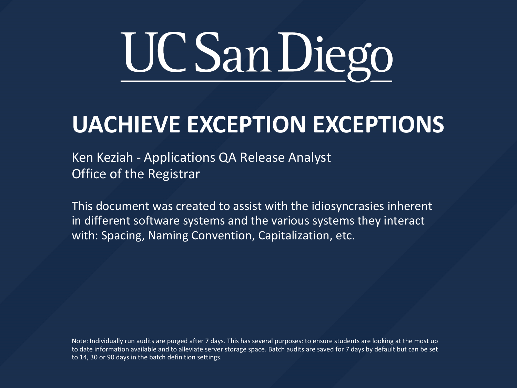

#### **UACHIEVE EXCEPTION EXCEPTIONS**

Ken Keziah - Applications QA Release Analyst Office of the Registrar

This document was created to assist with the idiosyncrasies inherent in different software systems and the various systems they interact with: Spacing, Naming Convention, Capitalization, etc.

Note: Individually run audits are purged after 7 days. This has several purposes: to ensure students are looking at the most up to date information available and to alleviate server storage space. Batch audits are saved for 7 days by default but can be set to 14, 30 or 90 days in the batch definition settings.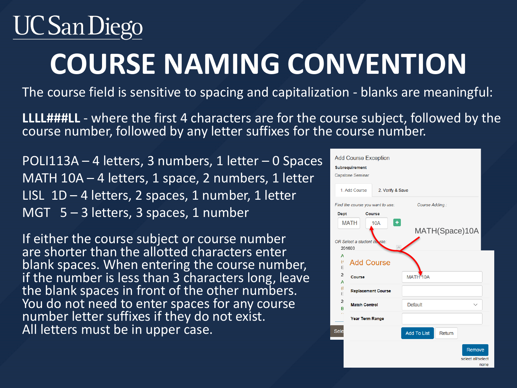## UC San Diego

## **COURSE NAMING CONVENTION**

The course field is sensitive to spacing and capitalization - blanks are meaningful:

**LLLL###LL** - where the first 4 characters are for the course subject, followed by the course number, followed by any letter suffixes for the course number.

POLI113A – 4 letters, 3 numbers, 1 letter – 0 Spaces MATH 10A – 4 letters, 1 space, 2 numbers, 1 letter LISL  $1D - 4$  letters, 2 spaces, 1 number, 1 letter MGT  $5 - 3$  letters, 3 spaces, 1 number

If either the course subject or course number are shorter than the allotted characters enter blank spaces. When entering the course number, if the number is less than 3 characters long, leave the blank spaces in front of the other numbers. You do not need to enter spaces for any course number letter suffixes if they do not exist. All letters must be in upper case.

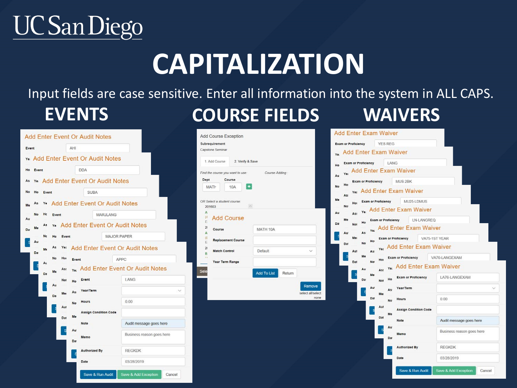### **UCSan Diego**

## **CAPITALIZATION**

#### Input fields are case sensitive. Enter all information into the system in ALL CAPS. **EVENTS COURSE FIELDS WAIVERS**

| Event                | AHI                                          |                                       |  |  |  |  |
|----------------------|----------------------------------------------|---------------------------------------|--|--|--|--|
| Ye                   | Add Enter Event Or Audit Notes               |                                       |  |  |  |  |
| Ho<br>Event          | <b>DDA</b>                                   |                                       |  |  |  |  |
| As<br>Ye             | Add Enter Event Or Audit Notes               |                                       |  |  |  |  |
| No<br>Ho<br>Event    | <b>SUBA</b>                                  |                                       |  |  |  |  |
| As<br>Ye<br>Me       | <b>Add Enter Event Or Audit Notes</b>        |                                       |  |  |  |  |
| No<br>Hc<br>Event    | <b>MARJLANG</b>                              |                                       |  |  |  |  |
| Au<br>As<br>Ye<br>Me | <b>Add Enter Event Or Audit Notes</b>        |                                       |  |  |  |  |
| Da<br>Nc<br>Ho       | Event                                        | <b>MAJOR PAPER</b>                    |  |  |  |  |
| Au<br>As<br>Me       | <b>Add Enter Event Or Audit Notes</b><br>Ye: |                                       |  |  |  |  |
| Da<br>No             | Hor<br>Event                                 | <b>APPC</b>                           |  |  |  |  |
| Au<br>M              | As:                                          | <b>Add Enter Event Or Audit Notes</b> |  |  |  |  |
| Da                   | Event<br>Not<br>Ho                           | LANG                                  |  |  |  |  |
| Aı                   | Year/Term<br>As:<br>Mer                      |                                       |  |  |  |  |
| D:                   | <b>Hours</b><br>N <sub>o</sub>               | 0.00                                  |  |  |  |  |
|                      | Aut<br><b>Assign Condition Code</b><br>Me    |                                       |  |  |  |  |
|                      | Dat<br>Note                                  | Audit message goes here               |  |  |  |  |
|                      | Au<br>s<br>Memo<br>Dat                       | Business reason goes here             |  |  |  |  |
|                      | <b>Authorized By</b><br>S                    | <b>REGKDK</b>                         |  |  |  |  |
|                      | Date                                         | 03/28/2019                            |  |  |  |  |
|                      |                                              |                                       |  |  |  |  |

| Subrequirement                                   |                               |
|--------------------------------------------------|-------------------------------|
| Capstone Seminar                                 |                               |
| 1. Add Course                                    | 2. Verify & Save              |
| Find the course you want to use:                 | Course Adding:                |
| Dept<br>Course                                   |                               |
| 10A<br>MATH                                      | ٠                             |
| OR Select a student course:                      |                               |
| 201603                                           | $\sim$                        |
| Α                                                |                               |
| $\epsilon$<br><b>Add Course</b><br>E             |                               |
| $\overline{a}$<br>Course<br>A                    | MATH 10A                      |
| $\overline{a}$<br><b>Replacement Course</b><br>E |                               |
| $\overline{2}$<br>Match Control<br>B             | Default<br>$\checkmark$       |
| ä.<br>Year Term Range                            |                               |
| Sele                                             | <b>Add To List</b><br>Return. |

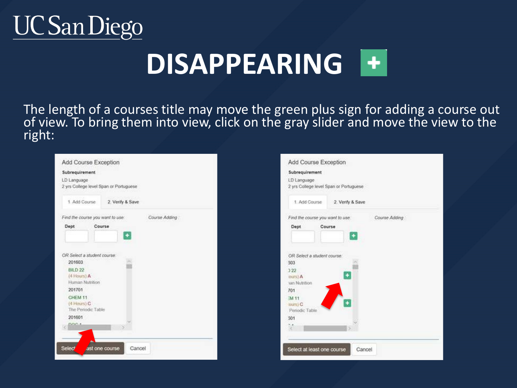#### **UC San Diego**

## **DISAPPEARING**

The length of a courses title may move the green plus sign for adding a course out of view. To bring them into view, click on the gray slider and move the view to the right:

| Subrequirement                                        |                  |               |  |
|-------------------------------------------------------|------------------|---------------|--|
| LD Language<br>2 yrs College level Span or Portuguese |                  |               |  |
| 1 Add Course                                          | 2. Verify & Save |               |  |
| Find the course you want to use:                      |                  | Course Adding |  |
| Dept                                                  | Course           |               |  |
|                                                       |                  |               |  |
|                                                       |                  |               |  |
| OR Select a student course:                           |                  |               |  |
| 201603                                                |                  |               |  |
| BBD 22                                                |                  |               |  |
| (4 Hours) A                                           |                  |               |  |
| Human Nutrition                                       |                  |               |  |
| 201701                                                |                  |               |  |
| CHEM 11                                               |                  |               |  |
| (4 Hours) C                                           |                  |               |  |
| The Periodic Table                                    |                  |               |  |
| 201601                                                |                  |               |  |
| <b>USO 8</b>                                          |                  |               |  |
|                                                       |                  |               |  |
|                                                       |                  |               |  |
|                                                       |                  |               |  |

| LD Language                 | 2 yrs College level Span or Portuguese |                |  |
|-----------------------------|----------------------------------------|----------------|--|
| 1. Add Course               | 2. Verify & Save                       |                |  |
|                             | Find the course you want to use:       | Course Adding: |  |
| Dept                        | Course                                 |                |  |
| OR Select a student course: |                                        |                |  |
| 303                         |                                        |                |  |
| 322<br>ours) A              |                                        |                |  |
|                             |                                        |                |  |
| tan Nutrition<br>701        |                                        |                |  |
| Periodic Table              | ¥                                      |                |  |
| EM 11<br>ours) C<br>301     |                                        |                |  |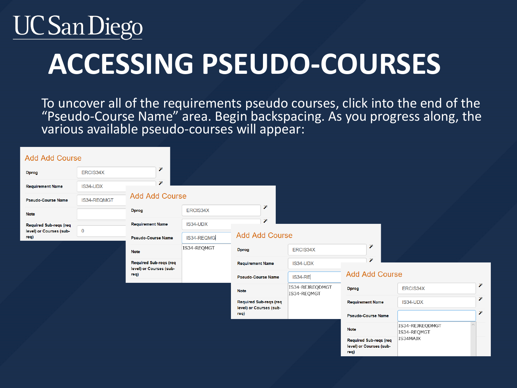#### UC San Diego

## **ACCESSING PSEUDO-COURSES**

To uncover all of the requirements pseudo courses, click into the end of the "Pseudo-Course Name" area. Begin backspacing. As you progress along, the various available pseudo-courses will appear:

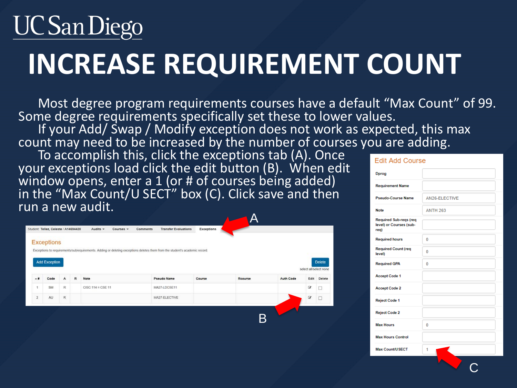# UC San Diego **INCREASE REQUIREMENT COUNT**

Most degree program requirements courses have a default "Max Count" of 99. Some degree requirements specifically set these to lower values. If your Add/ Swap / Modify exception does not work as expected, this max count may need to be increased by the number of courses you are adding.

B

To accomplish this, click the exceptions tab (A). Once your exceptions load click the edit button (B). When edit window opens, enter a 1 (or # of courses being added) in the "Max Count/U SECT" box (C). Click save and then run a new audit.

|     | Student: Tellez, Celeste / A14694420 |              |   | Audits -            | Courses v | Comments | <b>Transfer Evaluations</b>                                                                                                | <b>Exceptions</b> |         |                  |                        |               |
|-----|--------------------------------------|--------------|---|---------------------|-----------|----------|----------------------------------------------------------------------------------------------------------------------------|-------------------|---------|------------------|------------------------|---------------|
|     | <b>Exceptions</b>                    |              |   |                     |           |          |                                                                                                                            |                   |         |                  |                        |               |
|     |                                      |              |   |                     |           |          | Exceptions to requirements/subrequirements. Adding or deleting exceptions deletes them from the student's academic record. |                   |         |                  |                        |               |
|     |                                      |              |   |                     |           |          |                                                                                                                            |                   |         |                  |                        |               |
|     |                                      |              |   |                     |           |          |                                                                                                                            |                   |         |                  |                        |               |
|     | Add Exception                        |              |   |                     |           |          |                                                                                                                            |                   |         |                  |                        | <b>Delete</b> |
| ∸ # |                                      |              |   |                     |           |          |                                                                                                                            |                   |         |                  | select all/select none |               |
|     | Code                                 | $\mathsf{A}$ | R | Note                |           |          | Pseudo Name                                                                                                                | Course            | Rcourse | <b>Auth Code</b> | Edit                   | Delete        |
| f.  | SM                                   | R            |   | $CISC 114 = CSE 11$ |           |          | MA27-LDCSE11                                                                                                               |                   |         |                  | G,                     | □             |

| <b>Edit Add Course</b>                                    |                 |
|-----------------------------------------------------------|-----------------|
| <b>Dprog</b>                                              |                 |
| <b>Requirement Name</b>                                   |                 |
| <b>Pseudo-Course Name</b>                                 | AN26-ELECTIVE   |
| <b>Note</b>                                               | <b>ANTH 263</b> |
| Required Sub-regs (req<br>level) or Courses (sub-<br>req) |                 |
| <b>Required hours</b>                                     | 0               |
| <b>Required Count (req</b><br>level)                      | 0               |
| <b>Required GPA</b>                                       | 0               |
| <b>Accept Code 1</b>                                      |                 |
| <b>Accept Code 2</b>                                      |                 |
| <b>Reject Code 1</b>                                      |                 |
| <b>Reject Code 2</b>                                      |                 |
| <b>Max Hours</b>                                          | 0               |
| <b>Max Hours Control</b>                                  |                 |
| Max Count/USECT                                           | 1               |
|                                                           |                 |